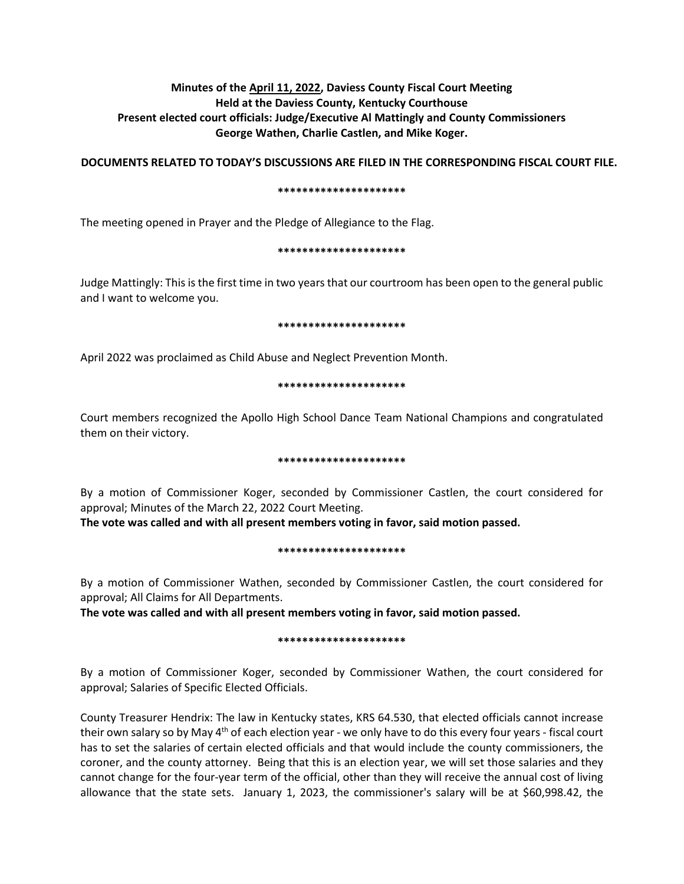# **Minutes of the April 11, 2022, Daviess County Fiscal Court Meeting Held at the Daviess County, Kentucky Courthouse Present elected court officials: Judge/Executive Al Mattingly and County Commissioners George Wathen, Charlie Castlen, and Mike Koger.**

**DOCUMENTS RELATED TO TODAY'S DISCUSSIONS ARE FILED IN THE CORRESPONDING FISCAL COURT FILE.**

## **\*\*\*\*\*\*\*\*\*\*\*\*\*\*\*\*\*\*\*\*\***

The meeting opened in Prayer and the Pledge of Allegiance to the Flag.

## **\*\*\*\*\*\*\*\*\*\*\*\*\*\*\*\*\*\*\*\*\***

Judge Mattingly: This is the first time in two years that our courtroom has been open to the general public and I want to welcome you.

#### **\*\*\*\*\*\*\*\*\*\*\*\*\*\*\*\*\*\*\*\*\***

April 2022 was proclaimed as Child Abuse and Neglect Prevention Month.

# **\*\*\*\*\*\*\*\*\*\*\*\*\*\*\*\*\*\*\*\*\***

Court members recognized the Apollo High School Dance Team National Champions and congratulated them on their victory.

# **\*\*\*\*\*\*\*\*\*\*\*\*\*\*\*\*\*\*\*\*\***

By a motion of Commissioner Koger, seconded by Commissioner Castlen, the court considered for approval; Minutes of the March 22, 2022 Court Meeting.

**The vote was called and with all present members voting in favor, said motion passed.** 

# **\*\*\*\*\*\*\*\*\*\*\*\*\*\*\*\*\*\*\*\*\***

By a motion of Commissioner Wathen, seconded by Commissioner Castlen, the court considered for approval; All Claims for All Departments.

**The vote was called and with all present members voting in favor, said motion passed.** 

# **\*\*\*\*\*\*\*\*\*\*\*\*\*\*\*\*\*\*\*\*\***

By a motion of Commissioner Koger, seconded by Commissioner Wathen, the court considered for approval; Salaries of Specific Elected Officials.

County Treasurer Hendrix: The law in Kentucky states, KRS 64.530, that elected officials cannot increase their own salary so by May 4<sup>th</sup> of each election year - we only have to do this every four years - fiscal court has to set the salaries of certain elected officials and that would include the county commissioners, the coroner, and the county attorney. Being that this is an election year, we will set those salaries and they cannot change for the four-year term of the official, other than they will receive the annual cost of living allowance that the state sets. January 1, 2023, the commissioner's salary will be at \$60,998.42, the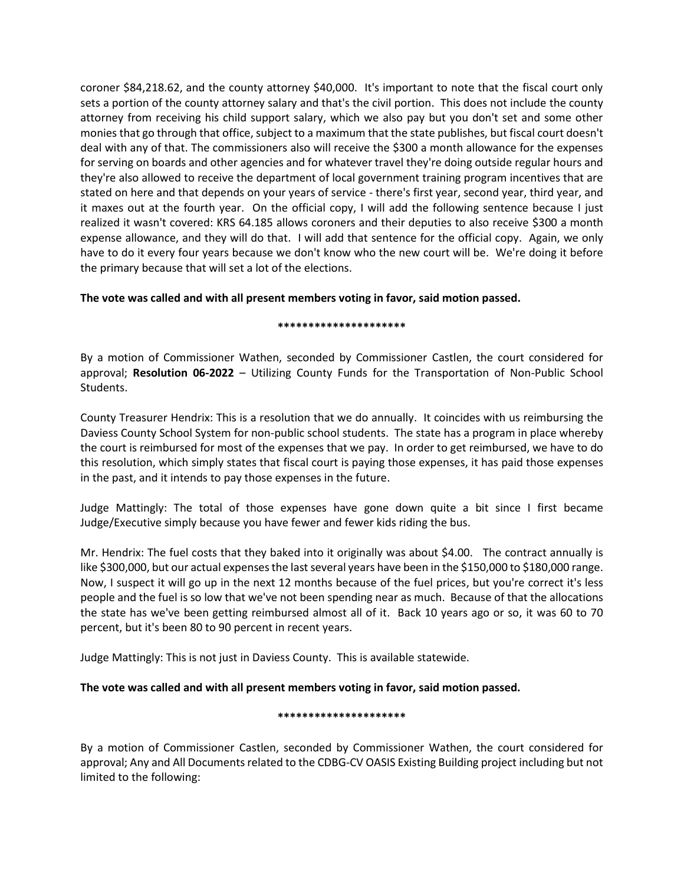coroner \$84,218.62, and the county attorney \$40,000. It's important to note that the fiscal court only sets a portion of the county attorney salary and that's the civil portion. This does not include the county attorney from receiving his child support salary, which we also pay but you don't set and some other monies that go through that office, subject to a maximum that the state publishes, but fiscal court doesn't deal with any of that. The commissioners also will receive the \$300 a month allowance for the expenses for serving on boards and other agencies and for whatever travel they're doing outside regular hours and they're also allowed to receive the department of local government training program incentives that are stated on here and that depends on your years of service - there's first year, second year, third year, and it maxes out at the fourth year. On the official copy, I will add the following sentence because I just realized it wasn't covered: KRS 64.185 allows coroners and their deputies to also receive \$300 a month expense allowance, and they will do that. I will add that sentence for the official copy. Again, we only have to do it every four years because we don't know who the new court will be. We're doing it before the primary because that will set a lot of the elections.

# **The vote was called and with all present members voting in favor, said motion passed.**

## **\*\*\*\*\*\*\*\*\*\*\*\*\*\*\*\*\*\*\*\*\***

By a motion of Commissioner Wathen, seconded by Commissioner Castlen, the court considered for approval; **Resolution 06-2022** – Utilizing County Funds for the Transportation of Non-Public School Students.

County Treasurer Hendrix: This is a resolution that we do annually. It coincides with us reimbursing the Daviess County School System for non-public school students. The state has a program in place whereby the court is reimbursed for most of the expenses that we pay. In order to get reimbursed, we have to do this resolution, which simply states that fiscal court is paying those expenses, it has paid those expenses in the past, and it intends to pay those expenses in the future.

Judge Mattingly: The total of those expenses have gone down quite a bit since I first became Judge/Executive simply because you have fewer and fewer kids riding the bus.

Mr. Hendrix: The fuel costs that they baked into it originally was about \$4.00. The contract annually is like \$300,000, but our actual expenses the last several years have been in the \$150,000 to \$180,000 range. Now, I suspect it will go up in the next 12 months because of the fuel prices, but you're correct it's less people and the fuel is so low that we've not been spending near as much. Because of that the allocations the state has we've been getting reimbursed almost all of it. Back 10 years ago or so, it was 60 to 70 percent, but it's been 80 to 90 percent in recent years.

Judge Mattingly: This is not just in Daviess County. This is available statewide.

# **The vote was called and with all present members voting in favor, said motion passed.**

# **\*\*\*\*\*\*\*\*\*\*\*\*\*\*\*\*\*\*\*\*\***

By a motion of Commissioner Castlen, seconded by Commissioner Wathen, the court considered for approval; Any and All Documents related to the CDBG-CV OASIS Existing Building project including but not limited to the following: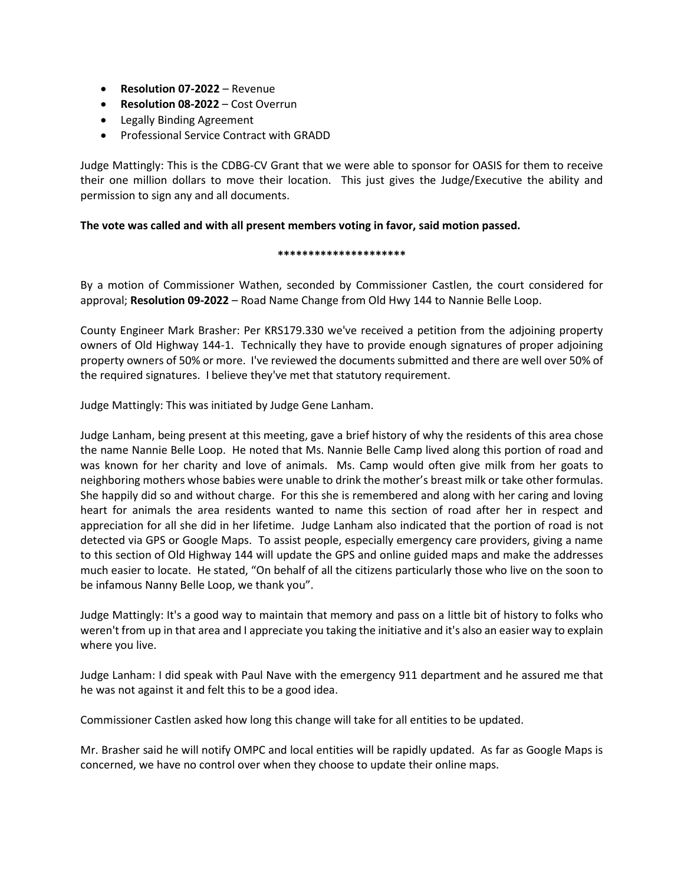- **Resolution 07-2022** Revenue
- **Resolution 08-2022**  Cost Overrun
- Legally Binding Agreement
- Professional Service Contract with GRADD

Judge Mattingly: This is the CDBG-CV Grant that we were able to sponsor for OASIS for them to receive their one million dollars to move their location. This just gives the Judge/Executive the ability and permission to sign any and all documents.

# **The vote was called and with all present members voting in favor, said motion passed.**

## **\*\*\*\*\*\*\*\*\*\*\*\*\*\*\*\*\*\*\*\*\***

By a motion of Commissioner Wathen, seconded by Commissioner Castlen, the court considered for approval; **Resolution 09-2022** – Road Name Change from Old Hwy 144 to Nannie Belle Loop.

County Engineer Mark Brasher: Per KRS179.330 we've received a petition from the adjoining property owners of Old Highway 144-1. Technically they have to provide enough signatures of proper adjoining property owners of 50% or more. I've reviewed the documents submitted and there are well over 50% of the required signatures. I believe they've met that statutory requirement.

Judge Mattingly: This was initiated by Judge Gene Lanham.

Judge Lanham, being present at this meeting, gave a brief history of why the residents of this area chose the name Nannie Belle Loop. He noted that Ms. Nannie Belle Camp lived along this portion of road and was known for her charity and love of animals. Ms. Camp would often give milk from her goats to neighboring mothers whose babies were unable to drink the mother's breast milk or take other formulas. She happily did so and without charge. For this she is remembered and along with her caring and loving heart for animals the area residents wanted to name this section of road after her in respect and appreciation for all she did in her lifetime. Judge Lanham also indicated that the portion of road is not detected via GPS or Google Maps. To assist people, especially emergency care providers, giving a name to this section of Old Highway 144 will update the GPS and online guided maps and make the addresses much easier to locate. He stated, "On behalf of all the citizens particularly those who live on the soon to be infamous Nanny Belle Loop, we thank you".

Judge Mattingly: It's a good way to maintain that memory and pass on a little bit of history to folks who weren't from up in that area and I appreciate you taking the initiative and it's also an easier way to explain where you live.

Judge Lanham: I did speak with Paul Nave with the emergency 911 department and he assured me that he was not against it and felt this to be a good idea.

Commissioner Castlen asked how long this change will take for all entities to be updated.

Mr. Brasher said he will notify OMPC and local entities will be rapidly updated. As far as Google Maps is concerned, we have no control over when they choose to update their online maps.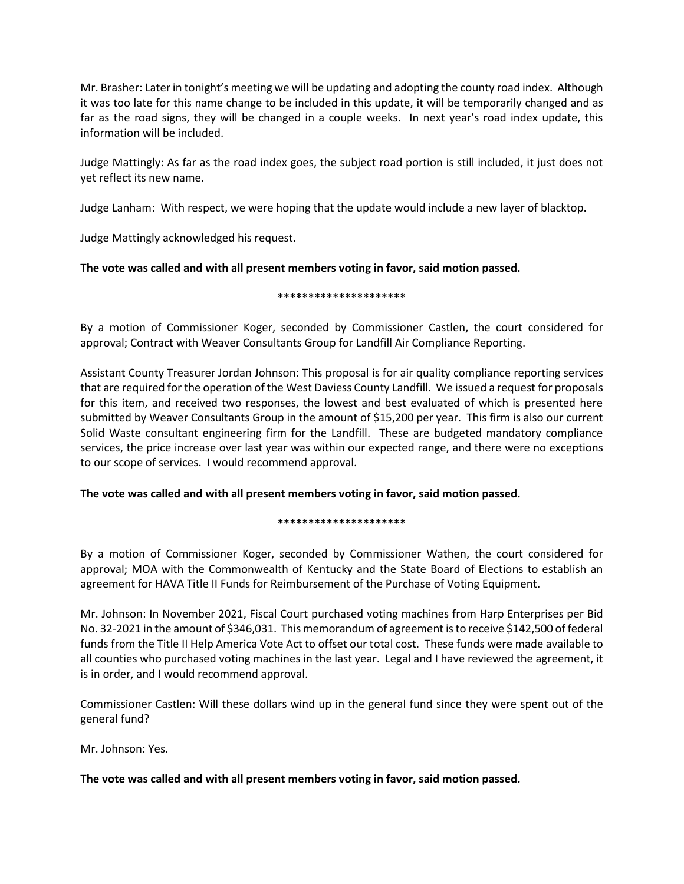Mr. Brasher: Later in tonight's meeting we will be updating and adopting the county road index. Although it was too late for this name change to be included in this update, it will be temporarily changed and as far as the road signs, they will be changed in a couple weeks. In next year's road index update, this information will be included.

Judge Mattingly: As far as the road index goes, the subject road portion is still included, it just does not yet reflect its new name.

Judge Lanham: With respect, we were hoping that the update would include a new layer of blacktop.

Judge Mattingly acknowledged his request.

# **The vote was called and with all present members voting in favor, said motion passed.**

# **\*\*\*\*\*\*\*\*\*\*\*\*\*\*\*\*\*\*\*\*\***

By a motion of Commissioner Koger, seconded by Commissioner Castlen, the court considered for approval; Contract with Weaver Consultants Group for Landfill Air Compliance Reporting.

Assistant County Treasurer Jordan Johnson: This proposal is for air quality compliance reporting services that are required for the operation of the West Daviess County Landfill. We issued a request for proposals for this item, and received two responses, the lowest and best evaluated of which is presented here submitted by Weaver Consultants Group in the amount of \$15,200 per year. This firm is also our current Solid Waste consultant engineering firm for the Landfill. These are budgeted mandatory compliance services, the price increase over last year was within our expected range, and there were no exceptions to our scope of services. I would recommend approval.

**The vote was called and with all present members voting in favor, said motion passed.** 

# **\*\*\*\*\*\*\*\*\*\*\*\*\*\*\*\*\*\*\*\*\***

By a motion of Commissioner Koger, seconded by Commissioner Wathen, the court considered for approval; MOA with the Commonwealth of Kentucky and the State Board of Elections to establish an agreement for HAVA Title II Funds for Reimbursement of the Purchase of Voting Equipment.

Mr. Johnson: In November 2021, Fiscal Court purchased voting machines from Harp Enterprises per Bid No. 32-2021 in the amount of \$346,031. This memorandum of agreement is to receive \$142,500 of federal funds from the Title II Help America Vote Act to offset our total cost. These funds were made available to all counties who purchased voting machines in the last year. Legal and I have reviewed the agreement, it is in order, and I would recommend approval.

Commissioner Castlen: Will these dollars wind up in the general fund since they were spent out of the general fund?

Mr. Johnson: Yes.

# **The vote was called and with all present members voting in favor, said motion passed.**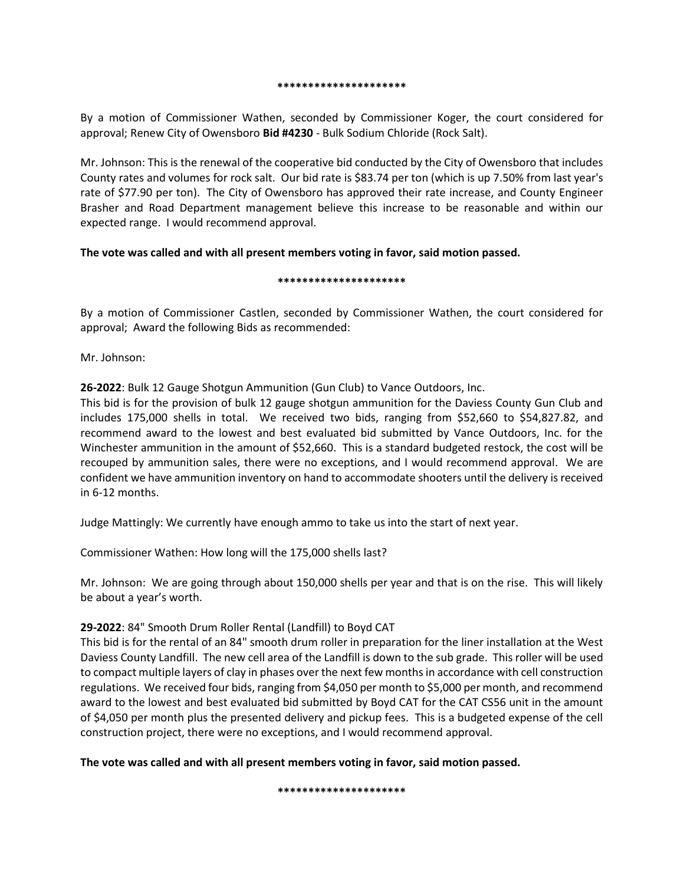#### **\*\*\*\*\*\*\*\*\*\*\*\*\*\*\*\*\*\*\*\*\***

By a motion of Commissioner Wathen, seconded by Commissioner Koger, the court considered for approval; Renew City of Owensboro **Bid #4230** - Bulk Sodium Chloride (Rock Salt).

Mr. Johnson: This is the renewal of the cooperative bid conducted by the City of Owensboro that includes County rates and volumes for rock salt. Our bid rate is \$83.74 per ton (which is up 7.50% from last year's rate of \$77.90 per ton). The City of Owensboro has approved their rate increase, and County Engineer Brasher and Road Department management believe this increase to be reasonable and within our expected range. I would recommend approval.

# **The vote was called and with all present members voting in favor, said motion passed.**

## **\*\*\*\*\*\*\*\*\*\*\*\*\*\*\*\*\*\*\*\*\***

By a motion of Commissioner Castlen, seconded by Commissioner Wathen, the court considered for approval; Award the following Bids as recommended:

Mr. Johnson:

**26-2022**: Bulk 12 Gauge Shotgun Ammunition (Gun Club) to Vance Outdoors, Inc.

This bid is for the provision of bulk 12 gauge shotgun ammunition for the Daviess County Gun Club and includes 175,000 shells in total. We received two bids, ranging from \$52,660 to \$54,827.82, and recommend award to the lowest and best evaluated bid submitted by Vance Outdoors, Inc. for the Winchester ammunition in the amount of \$52,660. This is a standard budgeted restock, the cost will be recouped by ammunition sales, there were no exceptions, and I would recommend approval. We are confident we have ammunition inventory on hand to accommodate shooters until the delivery is received in 6-12 months.

Judge Mattingly: We currently have enough ammo to take us into the start of next year.

Commissioner Wathen: How long will the 175,000 shells last?

Mr. Johnson: We are going through about 150,000 shells per year and that is on the rise. This will likely be about a year's worth.

# **29-2022**: 84" Smooth Drum Roller Rental (Landfill) to Boyd CAT

This bid is for the rental of an 84" smooth drum roller in preparation for the liner installation at the West Daviess County Landfill. The new cell area of the Landfill is down to the sub grade. This roller will be used to compact multiple layers of clay in phases over the next few months in accordance with cell construction regulations. We received four bids, ranging from \$4,050 per month to \$5,000 per month, and recommend award to the lowest and best evaluated bid submitted by Boyd CAT for the CAT CS56 unit in the amount of \$4,050 per month plus the presented delivery and pickup fees. This is a budgeted expense of the cell construction project, there were no exceptions, and I would recommend approval.

**The vote was called and with all present members voting in favor, said motion passed.** 

**\*\*\*\*\*\*\*\*\*\*\*\*\*\*\*\*\*\*\*\*\***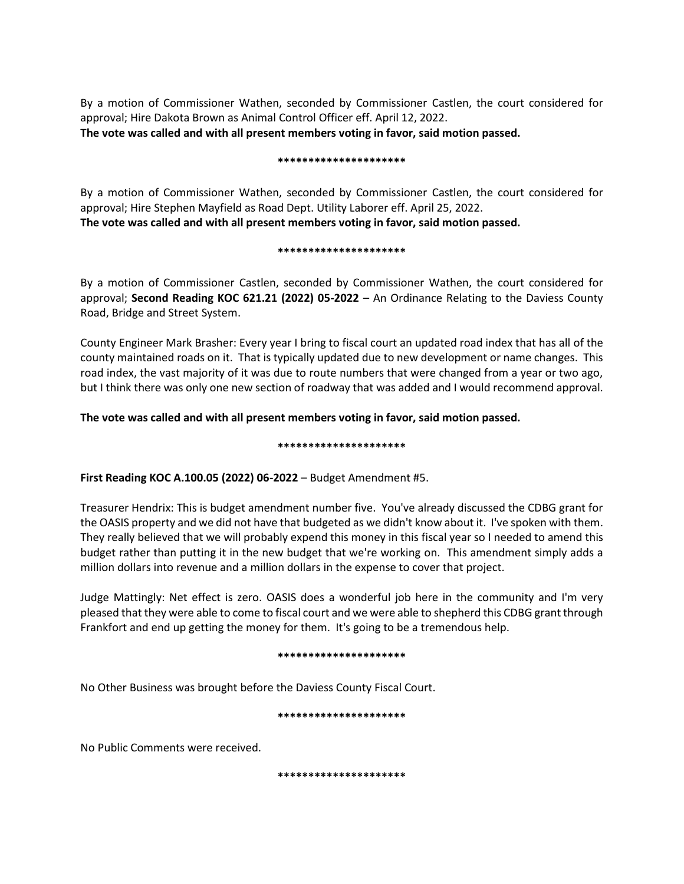By a motion of Commissioner Wathen, seconded by Commissioner Castlen, the court considered for approval; Hire Dakota Brown as Animal Control Officer eff. April 12, 2022. **The vote was called and with all present members voting in favor, said motion passed.** 

#### **\*\*\*\*\*\*\*\*\*\*\*\*\*\*\*\*\*\*\*\*\***

By a motion of Commissioner Wathen, seconded by Commissioner Castlen, the court considered for approval; Hire Stephen Mayfield as Road Dept. Utility Laborer eff. April 25, 2022. **The vote was called and with all present members voting in favor, said motion passed.** 

## **\*\*\*\*\*\*\*\*\*\*\*\*\*\*\*\*\*\*\*\*\***

By a motion of Commissioner Castlen, seconded by Commissioner Wathen, the court considered for approval; **Second Reading KOC 621.21 (2022) 05-2022** – An Ordinance Relating to the Daviess County Road, Bridge and Street System.

County Engineer Mark Brasher: Every year I bring to fiscal court an updated road index that has all of the county maintained roads on it. That is typically updated due to new development or name changes. This road index, the vast majority of it was due to route numbers that were changed from a year or two ago, but I think there was only one new section of roadway that was added and I would recommend approval.

# **The vote was called and with all present members voting in favor, said motion passed.**

## **\*\*\*\*\*\*\*\*\*\*\*\*\*\*\*\*\*\*\*\*\***

**First Reading KOC A.100.05 (2022) 06-2022** – Budget Amendment #5.

Treasurer Hendrix: This is budget amendment number five. You've already discussed the CDBG grant for the OASIS property and we did not have that budgeted as we didn't know about it. I've spoken with them. They really believed that we will probably expend this money in this fiscal year so I needed to amend this budget rather than putting it in the new budget that we're working on. This amendment simply adds a million dollars into revenue and a million dollars in the expense to cover that project.

Judge Mattingly: Net effect is zero. OASIS does a wonderful job here in the community and I'm very pleased that they were able to come to fiscal court and we were able to shepherd this CDBG grant through Frankfort and end up getting the money for them. It's going to be a tremendous help.

#### **\*\*\*\*\*\*\*\*\*\*\*\*\*\*\*\*\*\*\*\*\***

No Other Business was brought before the Daviess County Fiscal Court.

#### **\*\*\*\*\*\*\*\*\*\*\*\*\*\*\*\*\*\*\*\*\***

No Public Comments were received.

**\*\*\*\*\*\*\*\*\*\*\*\*\*\*\*\*\*\*\*\*\***